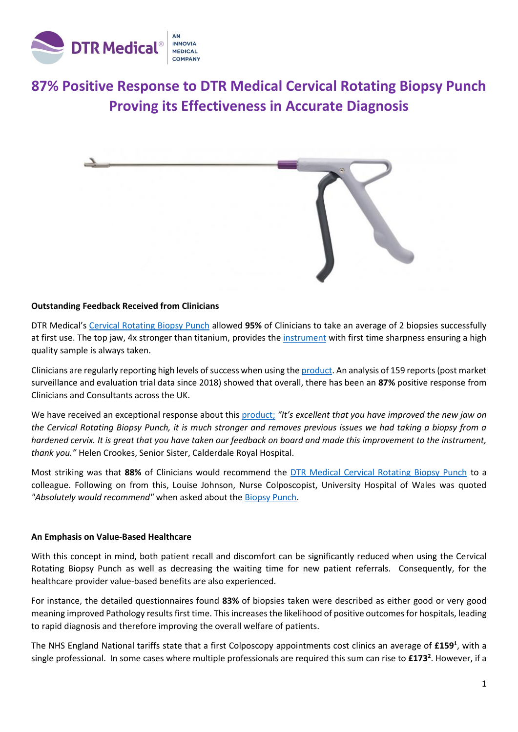

# **87% Positive Response to DTR Medical Cervical Rotating Biopsy Punch Proving its Effectiveness in Accurate Diagnosis**



### **Outstanding Feedback Received from Clinicians**

DTR Medical's [Cervical Rotating Biopsy Punch](https://dtrmedical.com/products/cervical-rotating-biopsy-punch/) allowed **95%** of Clinicians to take an average of 2 biopsies successfully at first use. The top jaw, 4x stronger than titanium, provides th[e instrument](https://dtrmedical.com/products/cervical-rotating-biopsy-punch/) with first time sharpness ensuring a high quality sample is always taken.

Clinicians are regularly reporting high levels of success when using the [product.](https://dtrmedical.com/products/cervical-rotating-biopsy-punch/) An analysis of 159 reports (post market surveillance and evaluation trial data since 2018) showed that overall, there has been an **87%** positive response from Clinicians and Consultants across the UK.

We have received an exceptional response about this [product;](https://dtrmedical.com/products/cervical-rotating-biopsy-punch/) *"It's excellent that you have improved the new jaw on the Cervical Rotating Biopsy Punch, it is much stronger and removes previous issues we had taking a biopsy from a hardened cervix. It is great that you have taken our feedback on board and made this improvement to the instrument, thank you."* Helen Crookes, Senior Sister, Calderdale Royal Hospital.

Most striking was that **88%** of Clinicians would recommend the [DTR Medical Cervical Rotating Biopsy Punch](https://dtrmedical.com/products/cervical-rotating-biopsy-punch/) to a colleague. Following on from this, Louise Johnson, Nurse Colposcopist, University Hospital of Wales was quoted *"Absolutely would recommend"* when asked about the Biopsy Punch.

## **An Emphasis on Value-Based Healthcare**

With this concept in mind, both patient recall and discomfort can be significantly reduced when using the Cervical Rotating Biopsy Punch as well as decreasing the waiting time for new patient referrals. Consequently, for the healthcare provider value-based benefits are also experienced.

For instance, the detailed questionnaires found **83%** of biopsies taken were described as either good or very good meaning improved Pathology results first time. This increases the likelihood of positive outcomes for hospitals, leading to rapid diagnosis and therefore improving the overall welfare of patients.

The NHS England National tariffs state that a first Colposcopy appointments cost clinics an average of **£159<sup>1</sup>** , with a single professional. In some cases where multiple professionals are required this sum can rise to **£173<sup>2</sup>** . However, if a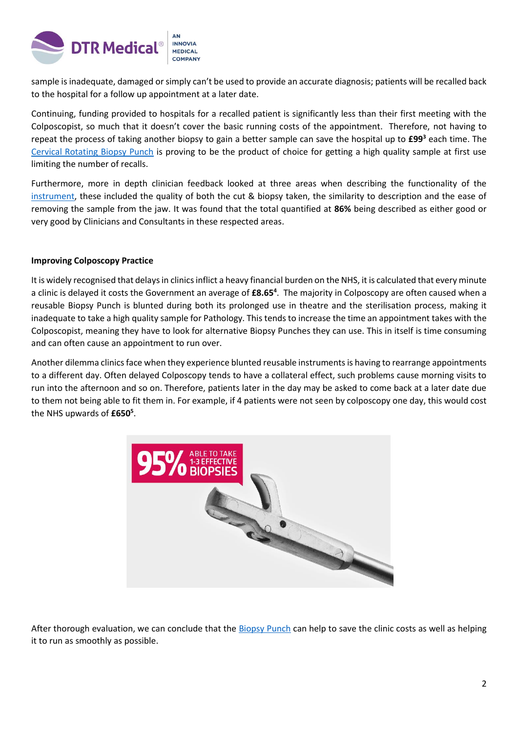

sample is inadequate, damaged or simply can't be used to provide an accurate diagnosis; patients will be recalled back to the hospital for a follow up appointment at a later date.

Continuing, funding provided to hospitals for a recalled patient is significantly less than their first meeting with the Colposcopist, so much that it doesn't cover the basic running costs of the appointment. Therefore, not having to repeat the process of taking another biopsy to gain a better sample can save the hospital up to **£99<sup>3</sup>** each time. The [Cervical Rotating Biopsy Punch](https://dtrmedical.com/products/cervical-rotating-biopsy-punch/) is proving to be the product of choice for getting a high quality sample at first use limiting the number of recalls.

Furthermore, more in depth clinician feedback looked at three areas when describing the functionality of the [instrument,](https://dtrmedical.com/products/cervical-rotating-biopsy-punch/) these included the quality of both the cut & biopsy taken, the similarity to description and the ease of removing the sample from the jaw. It was found that the total quantified at **86%** being described as either good or very good by Clinicians and Consultants in these respected areas.

# **Improving Colposcopy Practice**

It is widely recognised that delays in clinics inflict a heavy financial burden on the NHS, it is calculated that every minute a clinic is delayed it costs the Government an average of **£8.65<sup>4</sup>** . The majority in Colposcopy are often caused when a reusable Biopsy Punch is blunted during both its prolonged use in theatre and the sterilisation process, making it inadequate to take a high quality sample for Pathology. This tends to increase the time an appointment takes with the Colposcopist, meaning they have to look for alternative Biopsy Punches they can use. This in itself is time consuming and can often cause an appointment to run over.

Another dilemma clinics face when they experience blunted reusable instruments is having to rearrange appointments to a different day. Often delayed Colposcopy tends to have a collateral effect, such problems cause morning visits to run into the afternoon and so on. Therefore, patients later in the day may be asked to come back at a later date due to them not being able to fit them in. For example, if 4 patients were not seen by colposcopy one day, this would cost the NHS upwards of **£650<sup>5</sup>** .



After thorough evaluation, we can conclude that the [Biopsy Punch](https://dtrmedical.com/products/cervical-rotating-biopsy-punch/) can help to save the clinic costs as well as helping it to run as smoothly as possible.